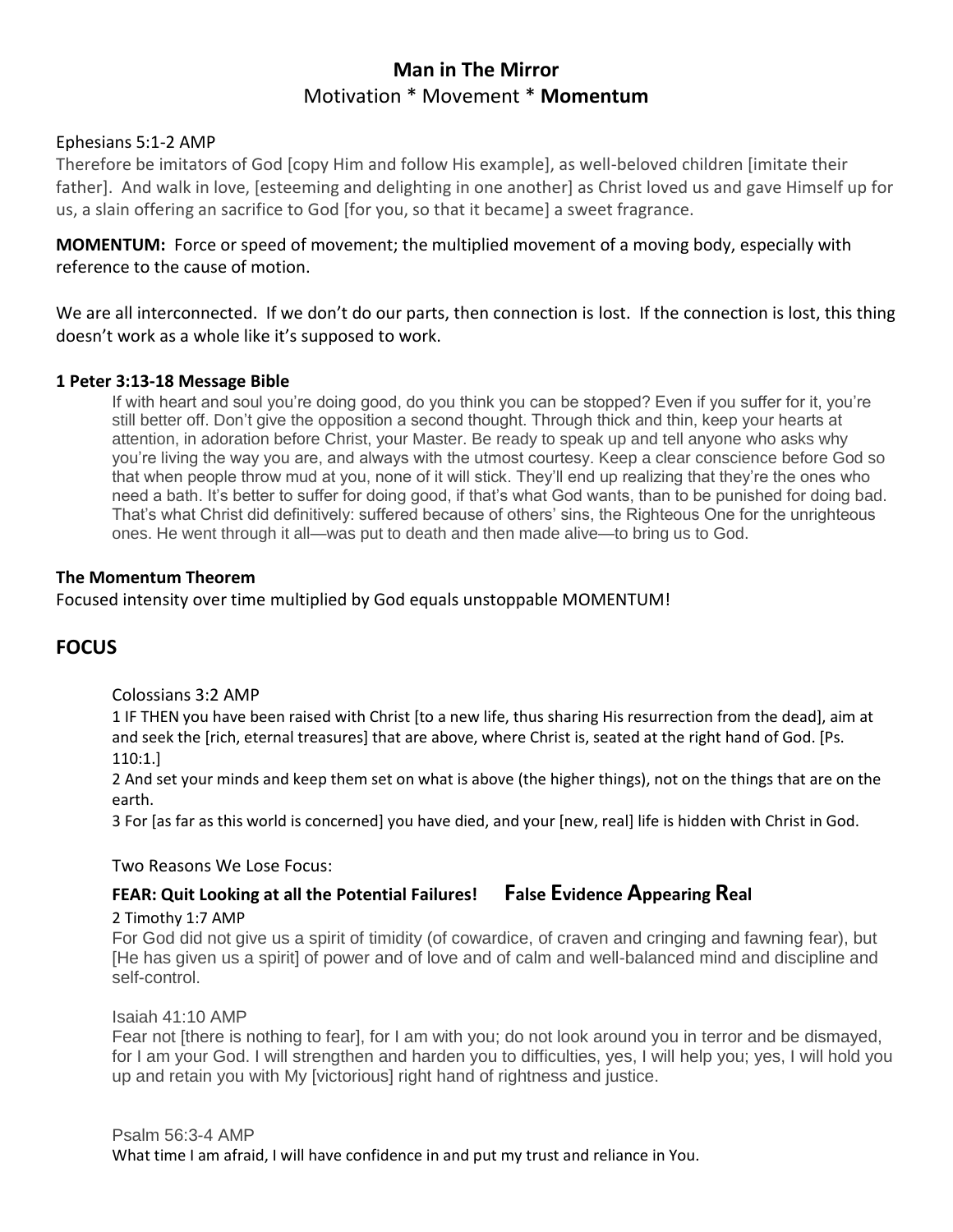# **Man in The Mirror** Motivation \* Movement \* **Momentum**

# Ephesians 5:1-2 AMP

Therefore be imitators of God [copy Him and follow His example], as well-beloved children [imitate their father]. And walk in love, [esteeming and delighting in one another] as Christ loved us and gave Himself up for us, a slain offering an sacrifice to God [for you, so that it became] a sweet fragrance.

**MOMENTUM:** Force or speed of movement; the multiplied movement of a moving body, especially with reference to the cause of motion.

We are all interconnected. If we don't do our parts, then connection is lost. If the connection is lost, this thing doesn't work as a whole like it's supposed to work.

# **1 Peter 3:13-18 Message Bible**

If with heart and soul you're doing good, do you think you can be stopped? Even if you suffer for it, you're still better off. Don't give the opposition a second thought. Through thick and thin, keep your hearts at attention, in adoration before Christ, your Master. Be ready to speak up and tell anyone who asks why you're living the way you are, and always with the utmost courtesy. Keep a clear conscience before God so that when people throw mud at you, none of it will stick. They'll end up realizing that they're the ones who need a bath. It's better to suffer for doing good, if that's what God wants, than to be punished for doing bad. That's what Christ did definitively: suffered because of others' sins, the Righteous One for the unrighteous ones. He went through it all—was put to death and then made alive—to bring us to God.

## **The Momentum Theorem**

Focused intensity over time multiplied by God equals unstoppable MOMENTUM!

# **FOCUS**

#### Colossians 3:2 AMP

1 IF THEN you have been raised with Christ [to a new life, thus sharing His resurrection from the dead], aim at and seek the [rich, eternal treasures] that are above, where Christ is, seated at the right hand of God. [Ps. 110:1.]

2 And set your minds and keep them set on what is above (the higher things), not on the things that are on the earth.

3 For [as far as this world is concerned] you have died, and your [new, real] life is hidden with Christ in God.

#### Two Reasons We Lose Focus:

# **FEAR: Quit Looking at all the Potential Failures! False Evidence Appearing Real**

#### 2 Timothy 1:7 AMP

For God did not give us a spirit of timidity (of cowardice, of craven and cringing and fawning fear), but [He has given us a spirit] of power and of love and of calm and well-balanced mind and discipline and self-control.

#### Isaiah 41:10 AMP

Fear not [there is nothing to fear], for I am with you; do not look around you in terror and be dismayed, for I am your God. I will strengthen and harden you to difficulties, yes, I will help you; yes, I will hold you up and retain you with My [victorious] right hand of rightness and justice.